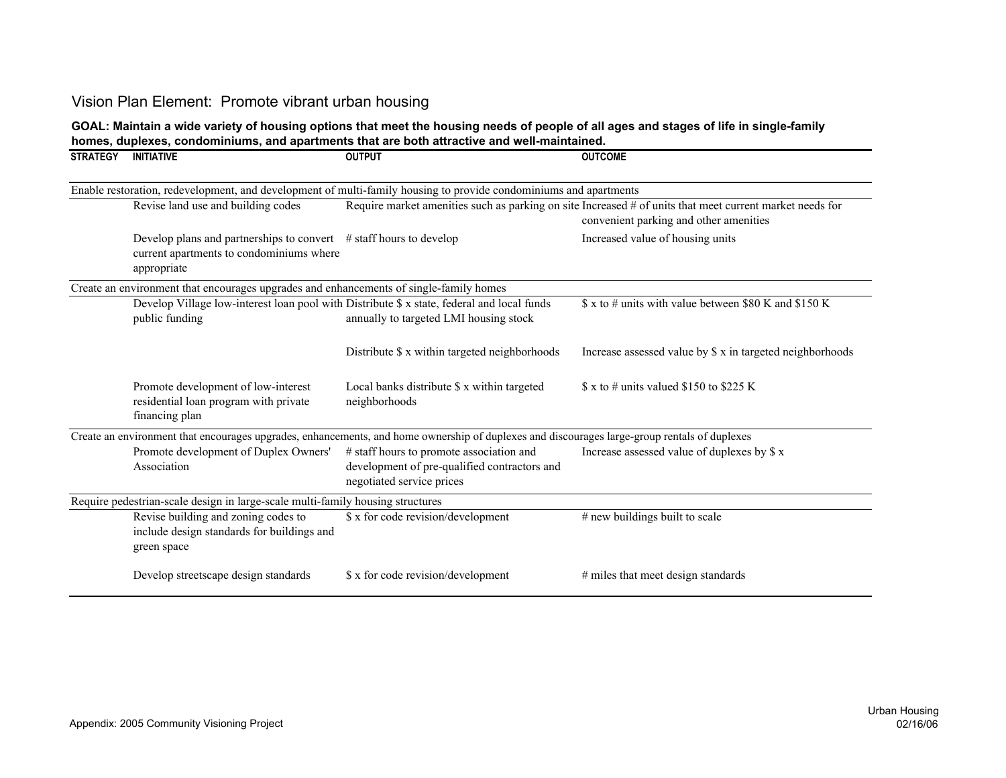# Vision Plan Element: Promote vibrant urban housing

#### **GOAL: Maintain a wide variety of housing options that meet the housing needs of people of all ages and stages of life in single-family homes, duplexes, condominiums, and apartments that are both attractive and well-maintained.**

| <b>STRATEGY</b> | <b>INITIATIVE</b>                                                                                                                | <b>OUTPUT</b>                                                                                                                                | <b>OUTCOME</b>                                                                                                                                     |
|-----------------|----------------------------------------------------------------------------------------------------------------------------------|----------------------------------------------------------------------------------------------------------------------------------------------|----------------------------------------------------------------------------------------------------------------------------------------------------|
|                 |                                                                                                                                  | Enable restoration, redevelopment, and development of multi-family housing to provide condominiums and apartments                            |                                                                                                                                                    |
|                 | Revise land use and building codes                                                                                               |                                                                                                                                              | Require market amenities such as parking on site Increased # of units that meet current market needs for<br>convenient parking and other amenities |
|                 | Develop plans and partnerships to convert $\#$ staff hours to develop<br>current apartments to condominiums where<br>appropriate |                                                                                                                                              | Increased value of housing units                                                                                                                   |
|                 | Create an environment that encourages upgrades and enhancements of single-family homes                                           |                                                                                                                                              |                                                                                                                                                    |
|                 | public funding                                                                                                                   | Develop Village low-interest loan pool with Distribute \$ x state, federal and local funds<br>annually to targeted LMI housing stock         | $\frac{1}{2}$ x to # units with value between \$80 K and \$150 K                                                                                   |
|                 |                                                                                                                                  | Distribute \$ x within targeted neighborhoods                                                                                                | Increase assessed value by \$ x in targeted neighborhoods                                                                                          |
|                 | Promote development of low-interest<br>residential loan program with private<br>financing plan                                   | Local banks distribute \$ x within targeted<br>neighborhoods                                                                                 | $\frac{1}{2}$ x to # units valued \$150 to \$225 K                                                                                                 |
|                 |                                                                                                                                  | Create an environment that encourages upgrades, enhancements, and home ownership of duplexes and discourages large-group rentals of duplexes |                                                                                                                                                    |
|                 | Promote development of Duplex Owners'<br>Association                                                                             | # staff hours to promote association and<br>development of pre-qualified contractors and<br>negotiated service prices                        | Increase assessed value of duplexes by \$ x                                                                                                        |
|                 | Require pedestrian-scale design in large-scale multi-family housing structures                                                   |                                                                                                                                              |                                                                                                                                                    |
|                 | Revise building and zoning codes to<br>include design standards for buildings and<br>green space                                 | \$ x for code revision/development                                                                                                           | $#$ new buildings built to scale                                                                                                                   |
|                 | Develop streetscape design standards                                                                                             | \$ x for code revision/development                                                                                                           | # miles that meet design standards                                                                                                                 |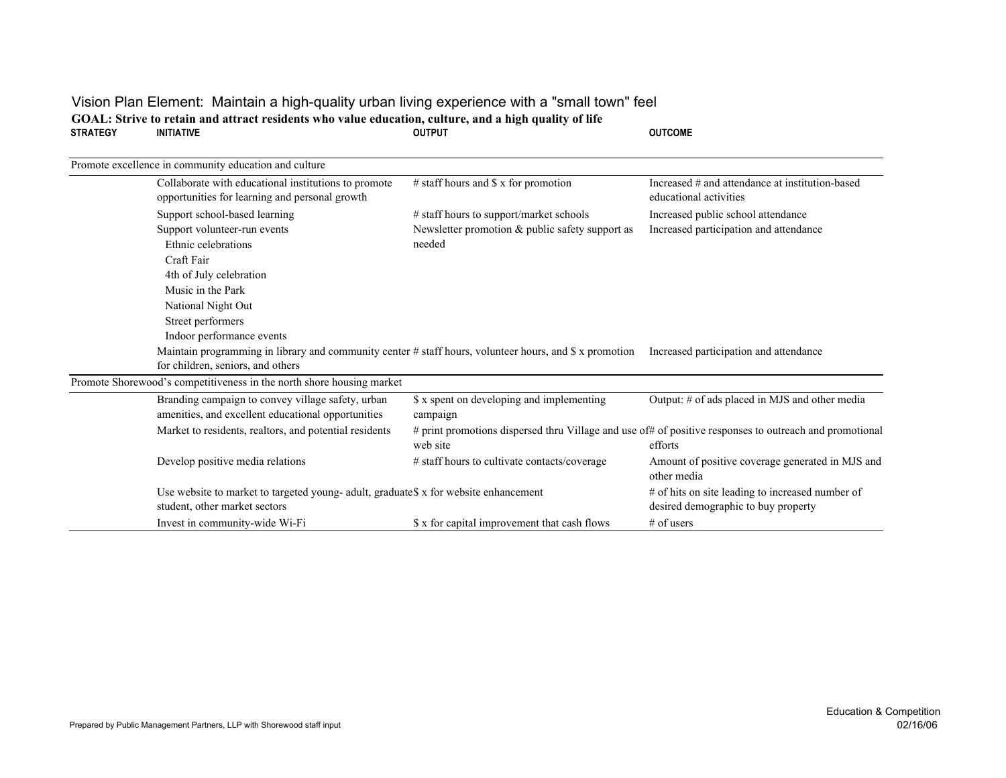### Vision Plan Element: Maintain a high-quality urban living experience with a "small town" feel **STRATEGY INITIATIVE OUTPUT OUTCOME**GOAL: Strive to retain and attract residents who value education, culture, and a high quality of life<br>
STRATEGY **INITIATIVE CUTPUT**

| Promote excellence in community education and culture                                                                                              |                                                       |                                                                                                                    |
|----------------------------------------------------------------------------------------------------------------------------------------------------|-------------------------------------------------------|--------------------------------------------------------------------------------------------------------------------|
| Collaborate with educational institutions to promote<br>opportunities for learning and personal growth                                             | # staff hours and $\$ x for promotion                 | Increased # and attendance at institution-based<br>educational activities                                          |
| Support school-based learning                                                                                                                      | # staff hours to support/market schools               | Increased public school attendance                                                                                 |
| Support volunteer-run events                                                                                                                       | Newsletter promotion $&$ public safety support as     | Increased participation and attendance                                                                             |
| Ethnic celebrations                                                                                                                                | needed                                                |                                                                                                                    |
| Craft Fair                                                                                                                                         |                                                       |                                                                                                                    |
| 4th of July celebration                                                                                                                            |                                                       |                                                                                                                    |
| Music in the Park                                                                                                                                  |                                                       |                                                                                                                    |
| National Night Out                                                                                                                                 |                                                       |                                                                                                                    |
| Street performers                                                                                                                                  |                                                       |                                                                                                                    |
| Indoor performance events                                                                                                                          |                                                       |                                                                                                                    |
| Maintain programming in library and community center $\#$ staff hours, volunteer hours, and $\$\ x$ promotion<br>for children, seniors, and others |                                                       | Increased participation and attendance                                                                             |
| Promote Shorewood's competitiveness in the north shore housing market                                                                              |                                                       |                                                                                                                    |
| Branding campaign to convey village safety, urban<br>amenities, and excellent educational opportunities                                            | \$ x spent on developing and implementing<br>campaign | Output: # of ads placed in MJS and other media                                                                     |
| Market to residents, realtors, and potential residents                                                                                             | web site                                              | # print promotions dispersed thru Village and use of# of positive responses to outreach and promotional<br>efforts |
| Develop positive media relations                                                                                                                   | # staff hours to cultivate contacts/coverage          | Amount of positive coverage generated in MJS and<br>other media                                                    |
| Use website to market to targeted young- adult, graduate\$ x for website enhancement<br>student, other market sectors                              |                                                       | # of hits on site leading to increased number of<br>desired demographic to buy property                            |
| Invest in community-wide Wi-Fi                                                                                                                     | \$ x for capital improvement that cash flows          | $#$ of users                                                                                                       |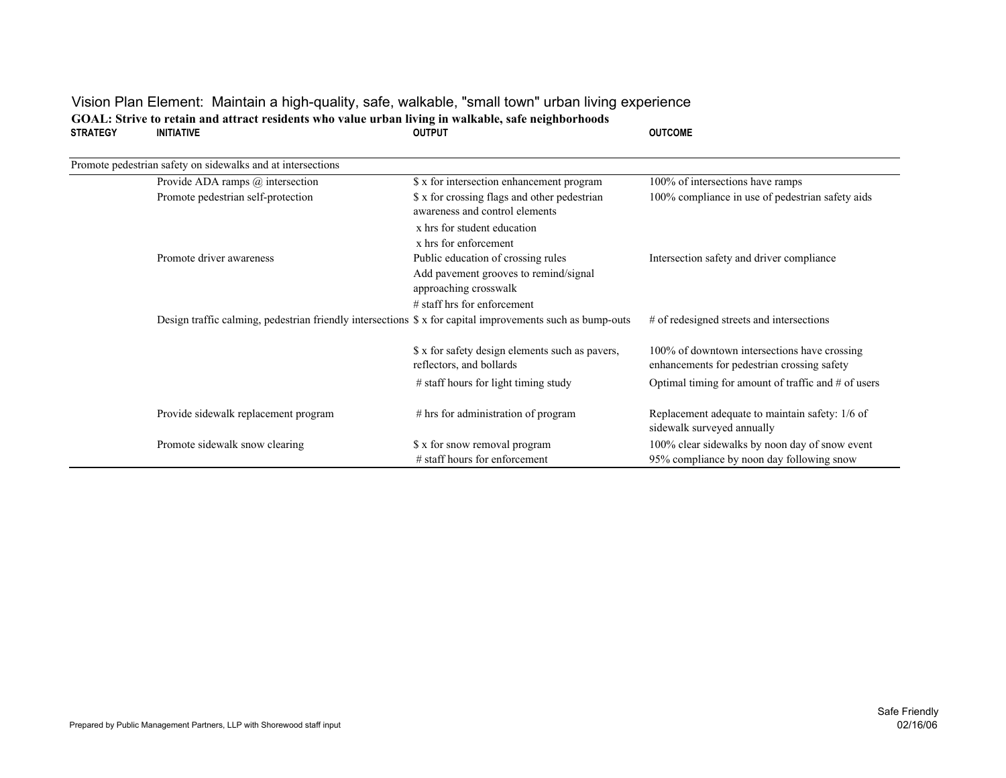## Vision Plan Element: Maintain a high-quality, safe, walkable, "small town" urban living experience **STRATEGY INITIATIVE OUTPUT OUTCOMEGOAL: Strive to retain and attract residents who value urban living in walkable, safe neighborhoods**

| Promote pedestrian safety on sidewalks and at intersections                                               |                                                                                                      |                                                                                             |
|-----------------------------------------------------------------------------------------------------------|------------------------------------------------------------------------------------------------------|---------------------------------------------------------------------------------------------|
| Provide ADA ramps $@$ intersection                                                                        | \$ x for intersection enhancement program                                                            | 100% of intersections have ramps                                                            |
| Promote pedestrian self-protection                                                                        | \$ x for crossing flags and other pedestrian<br>awareness and control elements                       | 100% compliance in use of pedestrian safety aids                                            |
|                                                                                                           | x hrs for student education<br>x hrs for enforcement                                                 |                                                                                             |
| Promote driver awareness                                                                                  | Public education of crossing rules<br>Add pavement grooves to remind/signal<br>approaching crosswalk | Intersection safety and driver compliance                                                   |
|                                                                                                           | $\#$ staff hrs for enforcement                                                                       |                                                                                             |
| Design traffic calming, pedestrian friendly intersections \$ x for capital improvements such as bump-outs |                                                                                                      | # of redesigned streets and intersections                                                   |
|                                                                                                           | \$ x for safety design elements such as pavers,<br>reflectors, and bollards                          | 100% of downtown intersections have crossing<br>enhancements for pedestrian crossing safety |
|                                                                                                           | # staff hours for light timing study                                                                 | Optimal timing for amount of traffic and $#$ of users                                       |
| Provide sidewalk replacement program                                                                      | # hrs for administration of program                                                                  | Replacement adequate to maintain safety: 1/6 of<br>sidewalk surveyed annually               |
| Promote sidewalk snow clearing                                                                            | \$ x for snow removal program                                                                        | 100% clear sidewalks by noon day of snow event                                              |
|                                                                                                           | $#$ staff hours for enforcement                                                                      | 95% compliance by noon day following snow                                                   |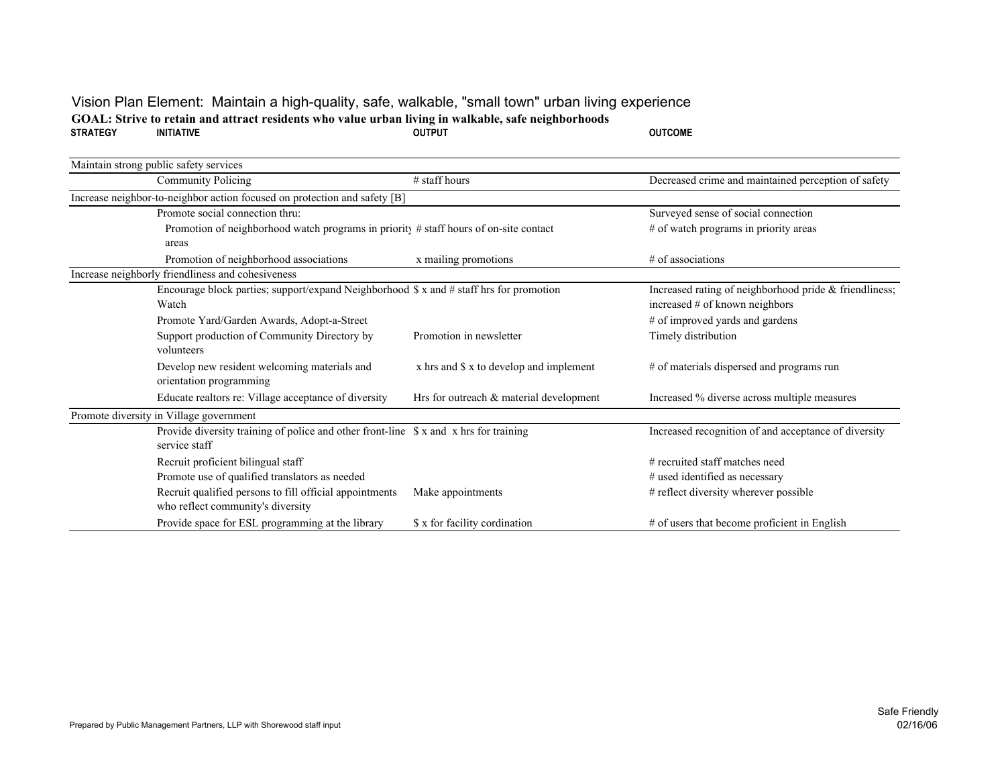## Vision Plan Element: Maintain a high-quality, safe, walkable, "small town" urban living experience **STRATEGY INITIATIVE OUTPUT OUTCOMEGOAL: Strive to retain and attract residents who value urban living in walkable, safe neighborhoods**

| Maintain strong public safety services                                                                 |                                         |                                                                                          |
|--------------------------------------------------------------------------------------------------------|-----------------------------------------|------------------------------------------------------------------------------------------|
| Community Policing                                                                                     | # staff hours                           | Decreased crime and maintained perception of safety                                      |
| Increase neighbor-to-neighbor action focused on protection and safety [B]                              |                                         |                                                                                          |
| Promote social connection thru:                                                                        |                                         | Surveyed sense of social connection                                                      |
| Promotion of neighborhood watch programs in priority # staff hours of on-site contact                  |                                         | # of watch programs in priority areas                                                    |
| areas                                                                                                  |                                         |                                                                                          |
| Promotion of neighborhood associations                                                                 | x mailing promotions                    | $#$ of associations                                                                      |
| Increase neighborly friendliness and cohesiveness                                                      |                                         |                                                                                          |
| Encourage block parties; support/expand Neighborhood \$ x and # staff hrs for promotion<br>Watch       |                                         | Increased rating of neighborhood pride & friendliness;<br>increased # of known neighbors |
| Promote Yard/Garden Awards, Adopt-a-Street                                                             |                                         | # of improved yards and gardens                                                          |
| Support production of Community Directory by<br>volunteers                                             | Promotion in newsletter                 | Timely distribution                                                                      |
| Develop new resident welcoming materials and<br>orientation programming                                | x hrs and \$ x to develop and implement | # of materials dispersed and programs run                                                |
| Educate realtors re: Village acceptance of diversity                                                   | Hrs for outreach & material development | Increased % diverse across multiple measures                                             |
| Promote diversity in Village government                                                                |                                         |                                                                                          |
| Provide diversity training of police and other front-line \$ x and x hrs for training<br>service staff |                                         | Increased recognition of and acceptance of diversity                                     |
| Recruit proficient bilingual staff                                                                     |                                         | $#$ recruited staff matches need                                                         |
| Promote use of qualified translators as needed                                                         |                                         | # used identified as necessary                                                           |
| Recruit qualified persons to fill official appointments<br>who reflect community's diversity           | Make appointments                       | # reflect diversity wherever possible                                                    |
| Provide space for ESL programming at the library                                                       | \$ x for facility cordination           | # of users that become proficient in English                                             |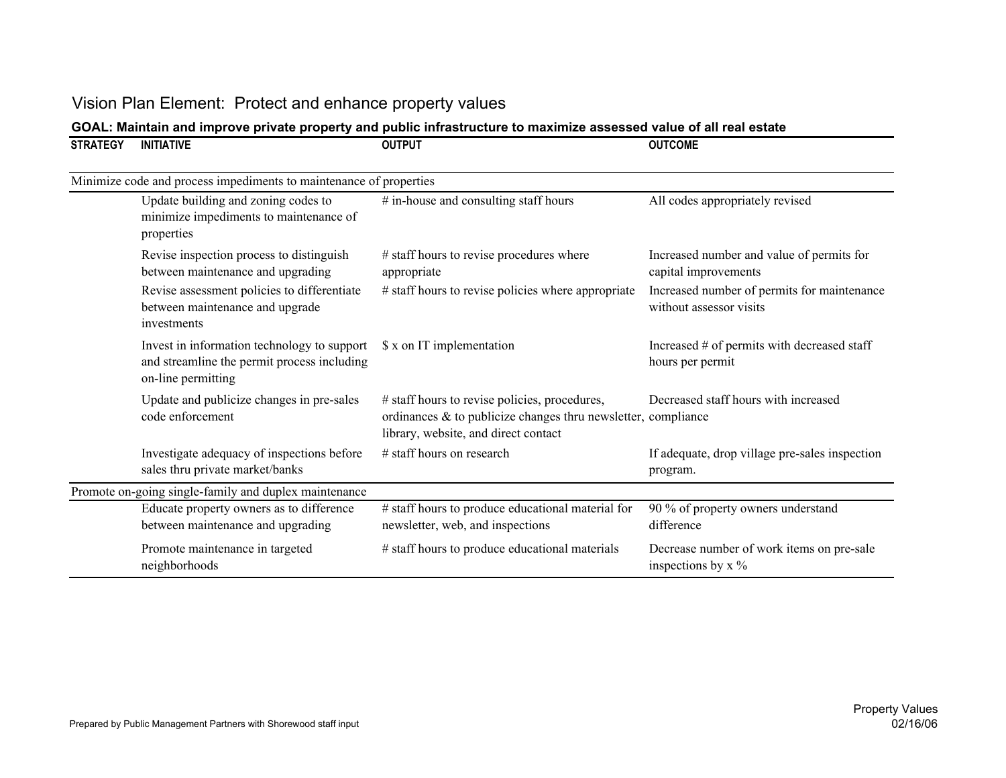| <b>STRATEGY</b> | <b>INITIATIVE</b>                                                                                                | <b>OUTPUT</b>                                                                                                                                             | <b>OUTCOME</b>                                                              |
|-----------------|------------------------------------------------------------------------------------------------------------------|-----------------------------------------------------------------------------------------------------------------------------------------------------------|-----------------------------------------------------------------------------|
|                 | Minimize code and process impediments to maintenance of properties                                               |                                                                                                                                                           |                                                                             |
|                 | Update building and zoning codes to<br>minimize impediments to maintenance of<br>properties                      | # in-house and consulting staff hours                                                                                                                     | All codes appropriately revised                                             |
|                 | Revise inspection process to distinguish<br>between maintenance and upgrading                                    | # staff hours to revise procedures where<br>appropriate                                                                                                   | Increased number and value of permits for<br>capital improvements           |
|                 | Revise assessment policies to differentiate<br>between maintenance and upgrade<br>investments                    | # staff hours to revise policies where appropriate                                                                                                        | Increased number of permits for maintenance<br>without assessor visits      |
|                 | Invest in information technology to support<br>and streamline the permit process including<br>on-line permitting | \$ x on IT implementation                                                                                                                                 | Increased # of permits with decreased staff<br>hours per permit             |
|                 | Update and publicize changes in pre-sales<br>code enforcement                                                    | # staff hours to revise policies, procedures,<br>ordinances $\&$ to publicize changes thru newsletter, compliance<br>library, website, and direct contact | Decreased staff hours with increased                                        |
|                 | Investigate adequacy of inspections before<br>sales thru private market/banks                                    | # staff hours on research                                                                                                                                 | If adequate, drop village pre-sales inspection<br>program.                  |
|                 | Promote on-going single-family and duplex maintenance                                                            |                                                                                                                                                           |                                                                             |
|                 | Educate property owners as to difference<br>between maintenance and upgrading                                    | # staff hours to produce educational material for<br>newsletter, web, and inspections                                                                     | 90 % of property owners understand<br>difference                            |
|                 | Promote maintenance in targeted<br>neighborhoods                                                                 | # staff hours to produce educational materials                                                                                                            | Decrease number of work items on pre-sale<br>inspections by $x \frac{9}{6}$ |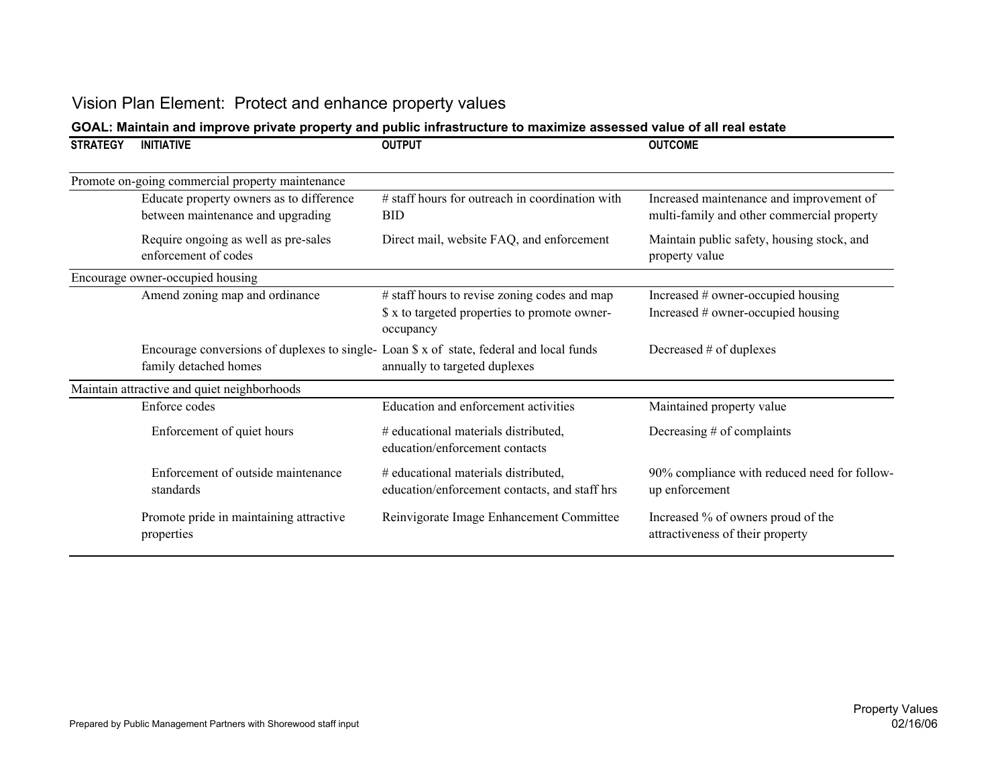| <b>STRATEGY</b> | <b>INITIATIVE</b>                                                                                                | <b>OUTPUT</b>                                                                                              | <b>OUTCOME</b>                                                                         |
|-----------------|------------------------------------------------------------------------------------------------------------------|------------------------------------------------------------------------------------------------------------|----------------------------------------------------------------------------------------|
|                 | Promote on-going commercial property maintenance                                                                 |                                                                                                            |                                                                                        |
|                 | Educate property owners as to difference<br>between maintenance and upgrading                                    | # staff hours for outreach in coordination with<br><b>BID</b>                                              | Increased maintenance and improvement of<br>multi-family and other commercial property |
|                 | Require ongoing as well as pre-sales<br>enforcement of codes                                                     | Direct mail, website FAQ, and enforcement                                                                  | Maintain public safety, housing stock, and<br>property value                           |
|                 | Encourage owner-occupied housing                                                                                 |                                                                                                            |                                                                                        |
|                 | Amend zoning map and ordinance                                                                                   | # staff hours to revise zoning codes and map<br>\$ x to targeted properties to promote owner-<br>occupancy | Increased # owner-occupied housing<br>Increased # owner-occupied housing               |
|                 | Encourage conversions of duplexes to single-Loan \$ x of state, federal and local funds<br>family detached homes | annually to targeted duplexes                                                                              | Decreased # of duplexes                                                                |
|                 | Maintain attractive and quiet neighborhoods                                                                      |                                                                                                            |                                                                                        |
|                 | Enforce codes                                                                                                    | Education and enforcement activities                                                                       | Maintained property value                                                              |
|                 | Enforcement of quiet hours                                                                                       | # educational materials distributed,<br>education/enforcement contacts                                     | Decreasing $#$ of complaints                                                           |
|                 | Enforcement of outside maintenance<br>standards                                                                  | # educational materials distributed,<br>education/enforcement contacts, and staff hrs                      | 90% compliance with reduced need for follow-<br>up enforcement                         |
|                 | Promote pride in maintaining attractive<br>properties                                                            | Reinvigorate Image Enhancement Committee                                                                   | Increased % of owners proud of the<br>attractiveness of their property                 |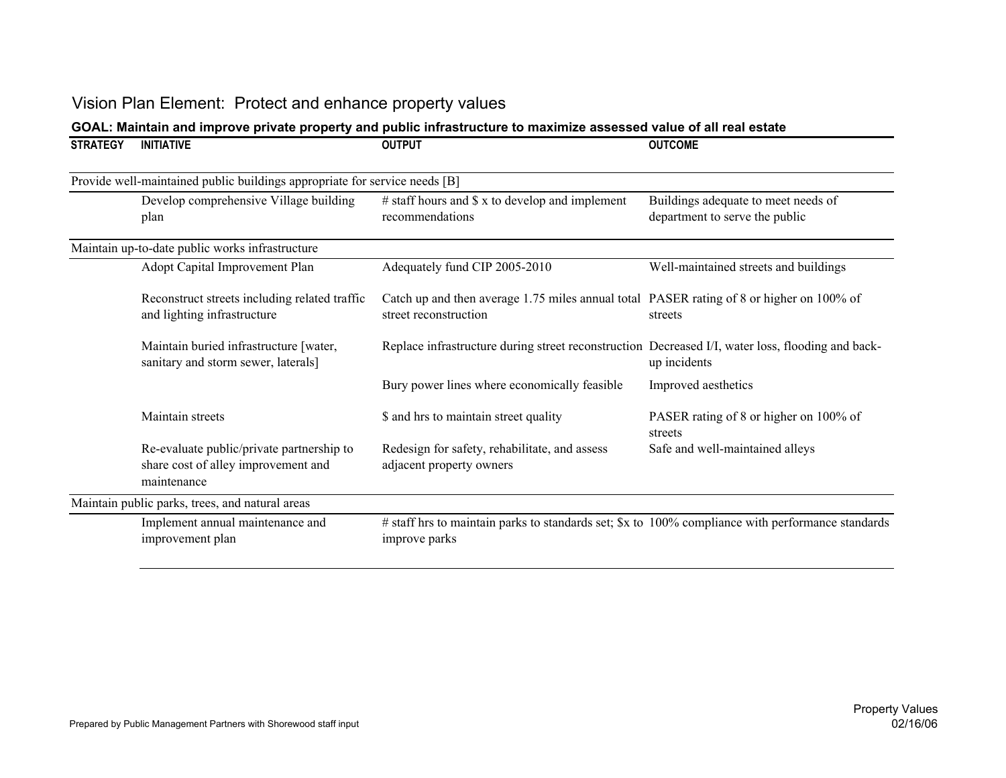| <b>STRATEGY</b> | <b>INITIATIVE</b>                                                                               | <b>OUTPUT</b>                                                                                                      | <b>OUTCOME</b>                                                        |
|-----------------|-------------------------------------------------------------------------------------------------|--------------------------------------------------------------------------------------------------------------------|-----------------------------------------------------------------------|
|                 | Provide well-maintained public buildings appropriate for service needs [B]                      |                                                                                                                    |                                                                       |
|                 | Develop comprehensive Village building<br>plan                                                  | $#$ staff hours and $$x$ to develop and implement<br>recommendations                                               | Buildings adequate to meet needs of<br>department to serve the public |
|                 | Maintain up-to-date public works infrastructure                                                 |                                                                                                                    |                                                                       |
|                 | Adopt Capital Improvement Plan                                                                  | Adequately fund CIP 2005-2010                                                                                      | Well-maintained streets and buildings                                 |
|                 | Reconstruct streets including related traffic<br>and lighting infrastructure                    | Catch up and then average 1.75 miles annual total PASER rating of 8 or higher on 100% of<br>street reconstruction  | streets                                                               |
|                 | Maintain buried infrastructure [water,<br>sanitary and storm sewer, laterals]                   | Replace infrastructure during street reconstruction Decreased I/I, water loss, flooding and back-                  | up incidents                                                          |
|                 |                                                                                                 | Bury power lines where economically feasible                                                                       | Improved aesthetics                                                   |
|                 | Maintain streets                                                                                | \$ and hrs to maintain street quality                                                                              | PASER rating of 8 or higher on 100% of<br>streets                     |
|                 | Re-evaluate public/private partnership to<br>share cost of alley improvement and<br>maintenance | Redesign for safety, rehabilitate, and assess<br>adjacent property owners                                          | Safe and well-maintained alleys                                       |
|                 | Maintain public parks, trees, and natural areas                                                 |                                                                                                                    |                                                                       |
|                 | Implement annual maintenance and<br>improvement plan                                            | # staff hrs to maintain parks to standards set; \$x to 100% compliance with performance standards<br>improve parks |                                                                       |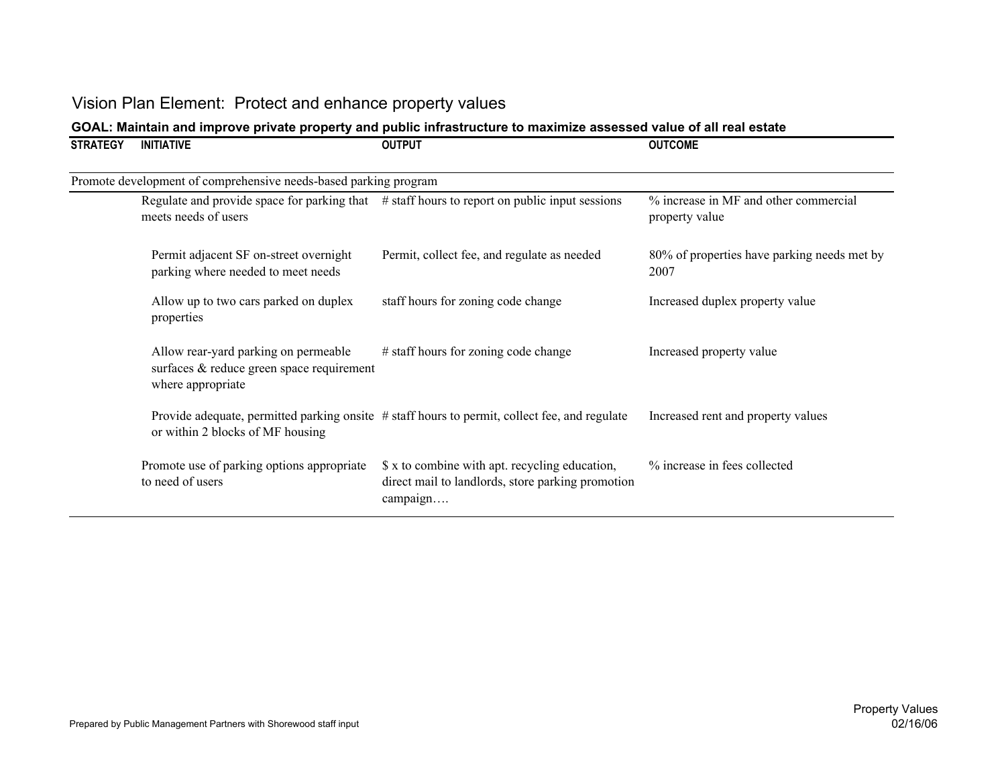| <b>STRATEGY</b> | <b>INITIATIVE</b>                                                                                      | <b>OUTPUT</b>                                                                                                   | <b>OUTCOME</b>                                          |
|-----------------|--------------------------------------------------------------------------------------------------------|-----------------------------------------------------------------------------------------------------------------|---------------------------------------------------------|
|                 | Promote development of comprehensive needs-based parking program                                       |                                                                                                                 |                                                         |
|                 | meets needs of users                                                                                   | Regulate and provide space for parking that $\#$ staff hours to report on public input sessions                 | % increase in MF and other commercial<br>property value |
|                 | Permit adjacent SF on-street overnight<br>parking where needed to meet needs                           | Permit, collect fee, and regulate as needed                                                                     | 80% of properties have parking needs met by<br>2007     |
|                 | Allow up to two cars parked on duplex<br>properties                                                    | staff hours for zoning code change                                                                              | Increased duplex property value                         |
|                 | Allow rear-yard parking on permeable<br>surfaces & reduce green space requirement<br>where appropriate | # staff hours for zoning code change                                                                            | Increased property value                                |
|                 | or within 2 blocks of MF housing                                                                       | Provide adequate, permitted parking onsite # staff hours to permit, collect fee, and regulate                   | Increased rent and property values                      |
|                 | Promote use of parking options appropriate<br>to need of users                                         | \$ x to combine with apt. recycling education,<br>direct mail to landlords, store parking promotion<br>campaign | % increase in fees collected                            |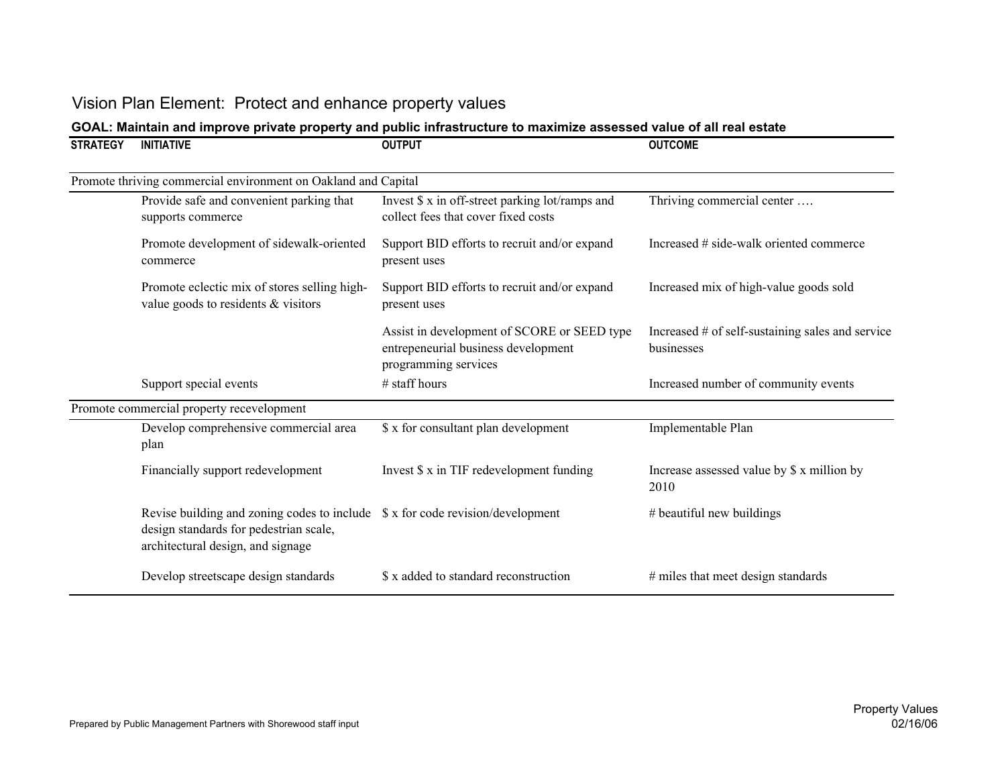| <b>STRATEGY</b> | <b>INITIATIVE</b>                                                                                                                                               | <b>OUTPUT</b>                                                                                              | <b>OUTCOME</b>                                                 |
|-----------------|-----------------------------------------------------------------------------------------------------------------------------------------------------------------|------------------------------------------------------------------------------------------------------------|----------------------------------------------------------------|
|                 | Promote thriving commercial environment on Oakland and Capital                                                                                                  |                                                                                                            |                                                                |
|                 | Provide safe and convenient parking that<br>supports commerce                                                                                                   | Invest \$ x in off-street parking lot/ramps and<br>collect fees that cover fixed costs                     | Thriving commercial center                                     |
|                 | Promote development of sidewalk-oriented<br>commerce                                                                                                            | Support BID efforts to recruit and/or expand<br>present uses                                               | Increased # side-walk oriented commerce                        |
|                 | Promote eclectic mix of stores selling high-<br>value goods to residents & visitors                                                                             | Support BID efforts to recruit and/or expand<br>present uses                                               | Increased mix of high-value goods sold                         |
|                 |                                                                                                                                                                 | Assist in development of SCORE or SEED type<br>entrepeneurial business development<br>programming services | Increased # of self-sustaining sales and service<br>businesses |
|                 | Support special events                                                                                                                                          | # staff hours                                                                                              | Increased number of community events                           |
|                 | Promote commercial property recevelopment                                                                                                                       |                                                                                                            |                                                                |
|                 | Develop comprehensive commercial area<br>plan                                                                                                                   | \$ x for consultant plan development                                                                       | Implementable Plan                                             |
|                 | Financially support redevelopment                                                                                                                               | Invest \$ x in TIF redevelopment funding                                                                   | Increase assessed value by \$ x million by<br>2010             |
|                 | Revise building and zoning codes to include $\$ x$ for code revision/development<br>design standards for pedestrian scale,<br>architectural design, and signage |                                                                                                            | # beautiful new buildings                                      |
|                 | Develop streetscape design standards                                                                                                                            | \$ x added to standard reconstruction                                                                      | # miles that meet design standards                             |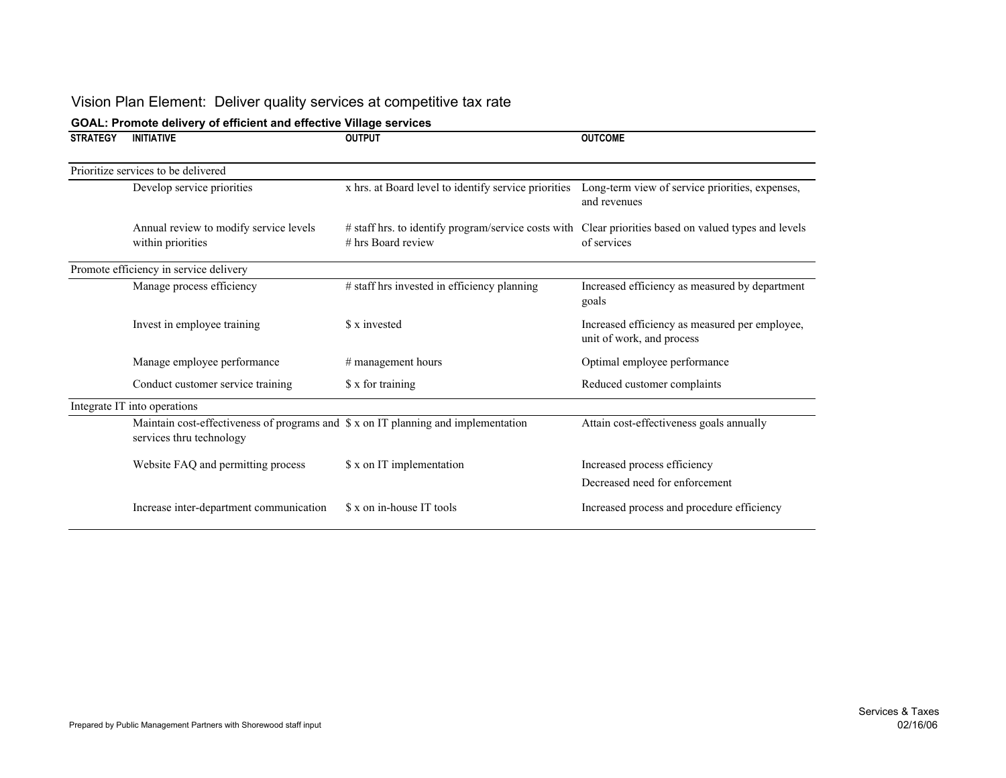# Vision Plan Element: Deliver quality services at competitive tax rate

| <b>STRATEGY</b> | <b>INITIATIVE</b>                                                                                              | <b>OUTPUT</b>                                                                                                                 | <b>OUTCOME</b>                                                              |
|-----------------|----------------------------------------------------------------------------------------------------------------|-------------------------------------------------------------------------------------------------------------------------------|-----------------------------------------------------------------------------|
|                 | Prioritize services to be delivered                                                                            |                                                                                                                               |                                                                             |
|                 | Develop service priorities                                                                                     | x hrs. at Board level to identify service priorities                                                                          | Long-term view of service priorities, expenses,<br>and revenues             |
|                 | Annual review to modify service levels<br>within priorities                                                    | # staff hrs. to identify program/service costs with Clear priorities based on valued types and levels<br>$#$ hrs Board review | of services                                                                 |
|                 | Promote efficiency in service delivery                                                                         |                                                                                                                               |                                                                             |
|                 | Manage process efficiency                                                                                      | # staff hrs invested in efficiency planning                                                                                   | Increased efficiency as measured by department<br>goals                     |
|                 | Invest in employee training                                                                                    | \$ x invested                                                                                                                 | Increased efficiency as measured per employee,<br>unit of work, and process |
|                 | Manage employee performance                                                                                    | # management hours                                                                                                            | Optimal employee performance                                                |
|                 | Conduct customer service training                                                                              | \$ x for training                                                                                                             | Reduced customer complaints                                                 |
|                 | Integrate IT into operations                                                                                   |                                                                                                                               |                                                                             |
|                 | Maintain cost-effectiveness of programs and \$ x on IT planning and implementation<br>services thru technology |                                                                                                                               | Attain cost-effectiveness goals annually                                    |
|                 | Website FAQ and permitting process                                                                             | \$ x on IT implementation                                                                                                     | Increased process efficiency<br>Decreased need for enforcement              |
|                 | Increase inter-department communication                                                                        | \$ x on in-house IT tools                                                                                                     | Increased process and procedure efficiency                                  |

### **GOAL: Promote delivery of efficient and effective Village services**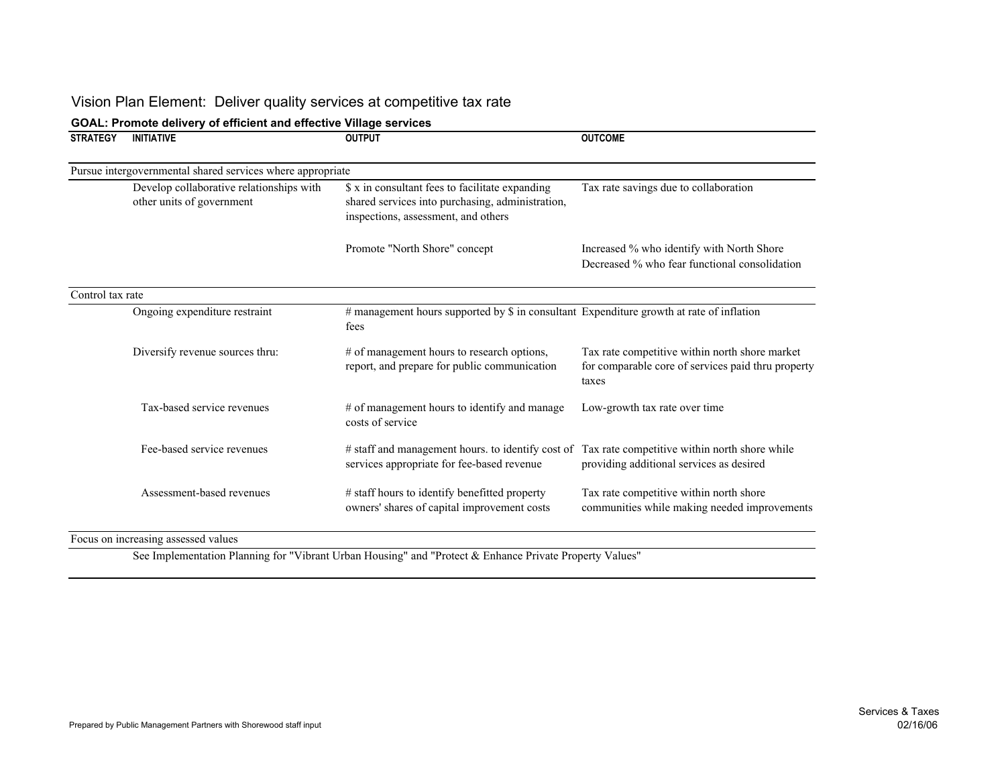# Vision Plan Element: Deliver quality services at competitive tax rate

| <b>STRATEGY</b>  | <b>INITIATIVE</b>                                                     | <b>OUTPUT</b>                                                                                                                              | <b>OUTCOME</b>                                                                                                |
|------------------|-----------------------------------------------------------------------|--------------------------------------------------------------------------------------------------------------------------------------------|---------------------------------------------------------------------------------------------------------------|
|                  | Pursue intergovernmental shared services where appropriate            |                                                                                                                                            |                                                                                                               |
|                  | Develop collaborative relationships with<br>other units of government | \$ x in consultant fees to facilitate expanding<br>shared services into purchasing, administration,<br>inspections, assessment, and others | Tax rate savings due to collaboration                                                                         |
|                  |                                                                       | Promote "North Shore" concept                                                                                                              | Increased % who identify with North Shore<br>Decreased % who fear functional consolidation                    |
| Control tax rate |                                                                       |                                                                                                                                            |                                                                                                               |
|                  | Ongoing expenditure restraint                                         | # management hours supported by \$ in consultant Expenditure growth at rate of inflation<br>fees                                           |                                                                                                               |
|                  | Diversify revenue sources thru:                                       | # of management hours to research options,<br>report, and prepare for public communication                                                 | Tax rate competitive within north shore market<br>for comparable core of services paid thru property<br>taxes |
|                  | Tax-based service revenues                                            | # of management hours to identify and manage<br>costs of service                                                                           | Low-growth tax rate over time                                                                                 |
|                  | Fee-based service revenues                                            | # staff and management hours. to identify cost of<br>services appropriate for fee-based revenue                                            | Tax rate competitive within north shore while<br>providing additional services as desired                     |
|                  | Assessment-based revenues                                             | # staff hours to identify benefitted property<br>owners' shares of capital improvement costs                                               | Tax rate competitive within north shore<br>communities while making needed improvements                       |

#### **GOAL: Promote delivery of efficient and effective Village services**

See Implementation Planning for "Vibrant Urban Housing" and "Protect & Enhance Private Property Values"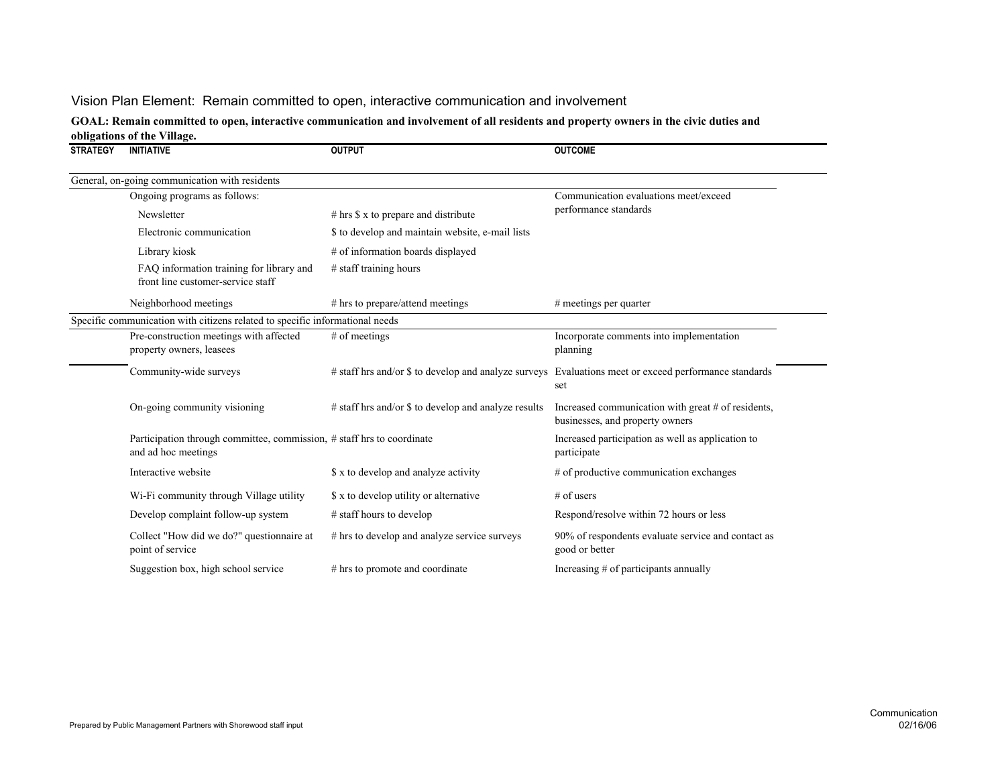## Vision Plan Element: Remain committed to open, interactive communication and involvement

#### **GOAL: Remain committed to open, interactive communication and involvement of all residents and property owners in the civic duties and obligations of the Village.**

| <b>STRATEGY</b> | <b>INITIATIVE</b>                                                                             | <b>OUTPUT</b>                                        | <b>OUTCOME</b>                                                                                               |
|-----------------|-----------------------------------------------------------------------------------------------|------------------------------------------------------|--------------------------------------------------------------------------------------------------------------|
|                 | General, on-going communication with residents                                                |                                                      |                                                                                                              |
|                 | Ongoing programs as follows:                                                                  |                                                      | Communication evaluations meet/exceed                                                                        |
|                 | Newsletter                                                                                    | $#$ hrs $\$ x$ to prepare and distribute             | performance standards                                                                                        |
|                 | Electronic communication                                                                      | \$ to develop and maintain website, e-mail lists     |                                                                                                              |
|                 | Library kiosk                                                                                 | # of information boards displayed                    |                                                                                                              |
|                 | FAQ information training for library and<br>front line customer-service staff                 | # staff training hours                               |                                                                                                              |
|                 | Neighborhood meetings                                                                         | # hrs to prepare/attend meetings                     | $#$ meetings per quarter                                                                                     |
|                 | Specific communication with citizens related to specific informational needs                  |                                                      |                                                                                                              |
|                 | Pre-construction meetings with affected<br>property owners, leasees                           | # of meetings                                        | Incorporate comments into implementation<br>planning                                                         |
|                 | Community-wide surveys                                                                        |                                                      | # staff hrs and/or \$ to develop and analyze surveys Evaluations meet or exceed performance standards<br>set |
|                 | On-going community visioning                                                                  | # staff hrs and/or \$ to develop and analyze results | Increased communication with great # of residents,<br>businesses, and property owners                        |
|                 | Participation through committee, commission, # staff hrs to coordinate<br>and ad hoc meetings |                                                      | Increased participation as well as application to<br>participate                                             |
|                 | Interactive website                                                                           | \$ x to develop and analyze activity                 | # of productive communication exchanges                                                                      |
|                 | Wi-Fi community through Village utility                                                       | \$ x to develop utility or alternative               | $#$ of users                                                                                                 |
|                 | Develop complaint follow-up system                                                            | # staff hours to develop                             | Respond/resolve within 72 hours or less                                                                      |
|                 | Collect "How did we do?" questionnaire at<br>point of service                                 | # hrs to develop and analyze service surveys         | 90% of respondents evaluate service and contact as<br>good or better                                         |
|                 | Suggestion box, high school service                                                           | # hrs to promote and coordinate                      | Increasing # of participants annually                                                                        |